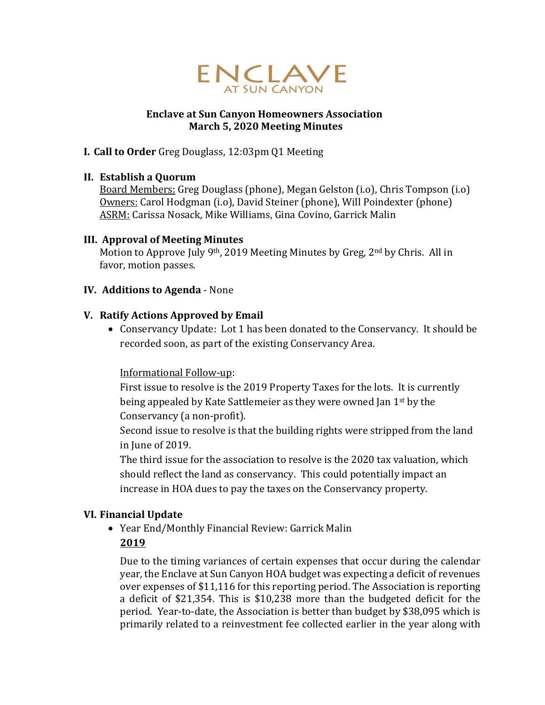

### **Enclave at Sun Canyon Homeowners Association March 5, 2020 Meeting Minutes**

## **I. Call to Order** Greg Douglass, 12:03pm Q1 Meeting

### **II. Establish a Quorum**

Board Members: Greg Douglass (phone), Megan Gelston (i.o), Chris Tompson (i.o) Owners: Carol Hodgman (i.o), David Steiner (phone), Will Poindexter (phone) ASRM: Carissa Nosack, Mike Williams, Gina Covino, Garrick Malin

### **III. Approval of Meeting Minutes**

Motion to Approve July 9th, 2019 Meeting Minutes by Greg, 2nd by Chris. All in favor, motion passes.

### **IV. Additions to Agenda** - None

# **V. Ratify Actions Approved by Email**

• Conservancy Update: Lot 1 has been donated to the Conservancy. It should be recorded soon, as part of the existing Conservancy Area.

### Informational Follow-up:

First issue to resolve is the 2019 Property Taxes for the lots. It is currently being appealed by Kate Sattlemeier as they were owned Jan 1st by the Conservancy (a non-profit).

Second issue to resolve is that the building rights were stripped from the land in June of 2019.

The third issue for the association to resolve is the 2020 tax valuation, which should reflect the land as conservancy. This could potentially impact an increase in HOA dues to pay the taxes on the Conservancy property.

# **VI. Financial Update**

• Year End/Monthly Financial Review: Garrick Malin

# **2019**

Due to the timing variances of certain expenses that occur during the calendar year, the Enclave at Sun Canyon HOA budget was expecting a deficit of revenues over expenses of \$11,116 for this reporting period. The Association is reporting a deficit of \$21,354. This is \$10,238 more than the budgeted deficit for the period. Year-to-date, the Association is better than budget by \$38,095 which is primarily related to a reinvestment fee collected earlier in the year along with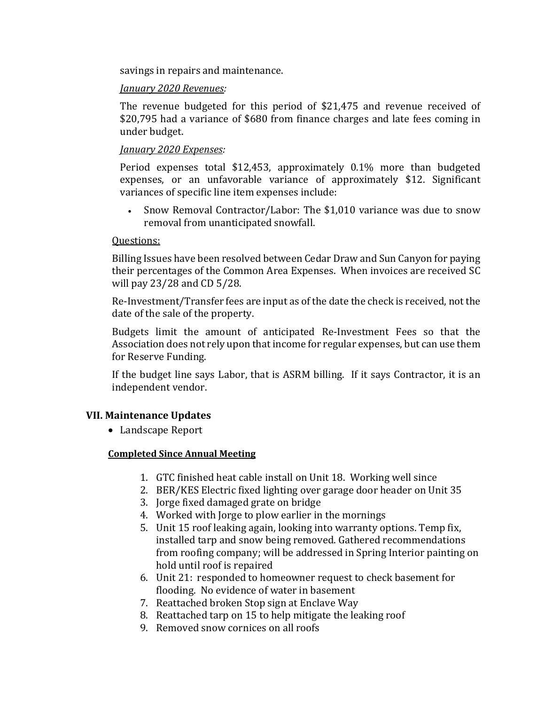savings in repairs and maintenance.

#### *January 2020 Revenues:*

The revenue budgeted for this period of \$21,475 and revenue received of \$20,795 had a variance of \$680 from finance charges and late fees coming in under budget.

#### *January 2020 Expenses:*

Period expenses total \$12,453, approximately 0.1% more than budgeted expenses, or an unfavorable variance of approximately \$12. Significant variances of specific line item expenses include:

• Snow Removal Contractor/Labor: The \$1,010 variance was due to snow removal from unanticipated snowfall.

#### Questions:

Billing Issues have been resolved between Cedar Draw and Sun Canyon for paying their percentages of the Common Area Expenses. When invoices are received SC will pay 23/28 and CD 5/28.

Re-Investment/Transfer fees are input as of the date the check is received, not the date of the sale of the property.

Budgets limit the amount of anticipated Re-Investment Fees so that the Association does not rely upon that income for regular expenses, but can use them for Reserve Funding.

If the budget line says Labor, that is ASRM billing. If it says Contractor, it is an independent vendor.

### **VII. Maintenance Updates**

• Landscape Report

### **Completed Since Annual Meeting**

- 1. GTC finished heat cable install on Unit 18. Working well since
- 2. BER/KES Electric fixed lighting over garage door header on Unit 35
- 3. Jorge fixed damaged grate on bridge
- 4. Worked with Jorge to plow earlier in the mornings
- 5. Unit 15 roof leaking again, looking into warranty options. Temp fix, installed tarp and snow being removed. Gathered recommendations from roofing company; will be addressed in Spring Interior painting on hold until roof is repaired
- 6. Unit 21: responded to homeowner request to check basement for flooding. No evidence of water in basement
- 7. Reattached broken Stop sign at Enclave Way
- 8. Reattached tarp on 15 to help mitigate the leaking roof
- 9. Removed snow cornices on all roofs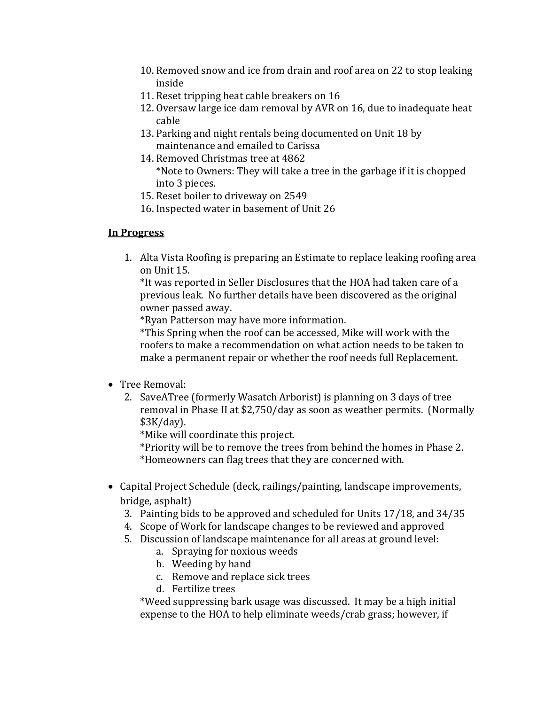- 10. Removed snow and ice from drain and roof area on 22 to stop leaking inside
- 11. Reset tripping heat cable breakers on 16
- 12. Oversaw large ice dam removal by AVR on 16, due to inadequate heat cable
- 13. Parking and night rentals being documented on Unit 18 by maintenance and emailed to Carissa
- 14. Removed Christmas tree at 4862 \*Note to Owners: They will take a tree in the garbage if it is chopped into 3 pieces.
- 15. Reset boiler to driveway on 2549
- 16. Inspected water in basement of Unit 26

# **In Progress**

1. Alta Vista Roofing is preparing an Estimate to replace leaking roofing area on Unit 15.

\*It was reported in Seller Disclosures that the HOA had taken care of a previous leak. No further details have been discovered as the original owner passed away.

\*Ryan Patterson may have more information.

\*This Spring when the roof can be accessed, Mike will work with the roofers to make a recommendation on what action needs to be taken to make a permanent repair or whether the roof needs full Replacement.

- Tree Removal:
	- 2. SaveATree (formerly Wasatch Arborist) is planning on 3 days of tree removal in Phase II at \$2,750/day as soon as weather permits. (Normally \$3K/day).

\*Mike will coordinate this project.

\*Priority will be to remove the trees from behind the homes in Phase 2. \*Homeowners can flag trees that they are concerned with.

- Capital Project Schedule (deck, railings/painting, landscape improvements, bridge, asphalt)
	- 3. Painting bids to be approved and scheduled for Units 17/18, and 34/35
	- 4. Scope of Work for landscape changes to be reviewed and approved
	- 5. Discussion of landscape maintenance for all areas at ground level:
		- a. Spraying for noxious weeds
		- b. Weeding by hand
		- c. Remove and replace sick trees
		- d. Fertilize trees

\*Weed suppressing bark usage was discussed. It may be a high initial expense to the HOA to help eliminate weeds/crab grass; however, if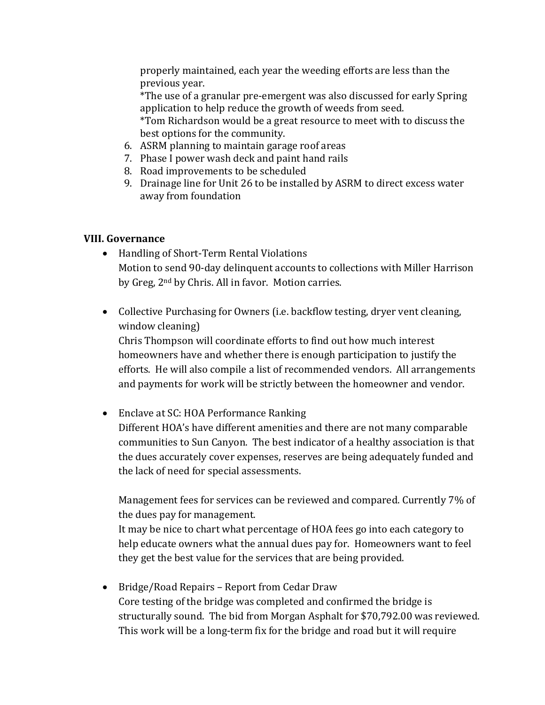properly maintained, each year the weeding efforts are less than the previous year.

\*The use of a granular pre-emergent was also discussed for early Spring application to help reduce the growth of weeds from seed.

\*Tom Richardson would be a great resource to meet with to discuss the best options for the community.

- 6. ASRM planning to maintain garage roof areas
- 7. Phase I power wash deck and paint hand rails
- 8. Road improvements to be scheduled
- 9. Drainage line for Unit 26 to be installed by ASRM to direct excess water away from foundation

# **VIII. Governance**

- Handling of Short-Term Rental Violations Motion to send 90-day delinquent accounts to collections with Miller Harrison by Greg, 2nd by Chris. All in favor. Motion carries.
- Collective Purchasing for Owners (i.e. backflow testing, dryer vent cleaning, window cleaning)

Chris Thompson will coordinate efforts to find out how much interest homeowners have and whether there is enough participation to justify the efforts. He will also compile a list of recommended vendors. All arrangements and payments for work will be strictly between the homeowner and vendor.

• Enclave at SC: HOA Performance Ranking

Different HOA's have different amenities and there are not many comparable communities to Sun Canyon. The best indicator of a healthy association is that the dues accurately cover expenses, reserves are being adequately funded and the lack of need for special assessments.

Management fees for services can be reviewed and compared. Currently 7% of the dues pay for management.

It may be nice to chart what percentage of HOA fees go into each category to help educate owners what the annual dues pay for. Homeowners want to feel they get the best value for the services that are being provided.

• Bridge/Road Repairs – Report from Cedar Draw Core testing of the bridge was completed and confirmed the bridge is structurally sound. The bid from Morgan Asphalt for \$70,792.00 was reviewed. This work will be a long-term fix for the bridge and road but it will require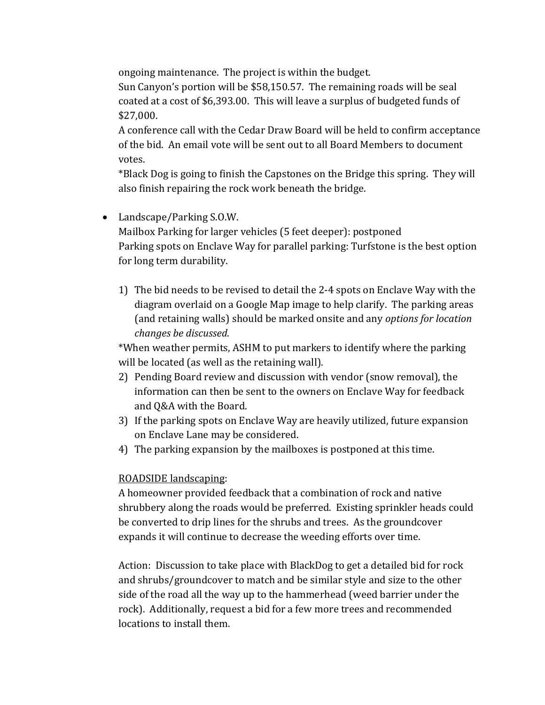ongoing maintenance. The project is within the budget.

Sun Canyon's portion will be \$58,150.57. The remaining roads will be seal coated at a cost of \$6,393.00. This will leave a surplus of budgeted funds of \$27,000.

A conference call with the Cedar Draw Board will be held to confirm acceptance of the bid. An email vote will be sent out to all Board Members to document votes.

\*Black Dog is going to finish the Capstones on the Bridge this spring. They will also finish repairing the rock work beneath the bridge.

- Landscape/Parking S.O.W. Mailbox Parking for larger vehicles (5 feet deeper): postponed Parking spots on Enclave Way for parallel parking: Turfstone is the best option for long term durability.
	- 1) The bid needs to be revised to detail the 2-4 spots on Enclave Way with the diagram overlaid on a Google Map image to help clarify. The parking areas (and retaining walls) should be marked onsite and any *options for location changes be discussed*.

\*When weather permits, ASHM to put markers to identify where the parking will be located (as well as the retaining wall).

- 2) Pending Board review and discussion with vendor (snow removal), the information can then be sent to the owners on Enclave Way for feedback and Q&A with the Board.
- 3) If the parking spots on Enclave Way are heavily utilized, future expansion on Enclave Lane may be considered.
- 4) The parking expansion by the mailboxes is postponed at this time.

# ROADSIDE landscaping:

A homeowner provided feedback that a combination of rock and native shrubbery along the roads would be preferred. Existing sprinkler heads could be converted to drip lines for the shrubs and trees. As the groundcover expands it will continue to decrease the weeding efforts over time.

Action: Discussion to take place with BlackDog to get a detailed bid for rock and shrubs/groundcover to match and be similar style and size to the other side of the road all the way up to the hammerhead (weed barrier under the rock). Additionally, request a bid for a few more trees and recommended locations to install them.